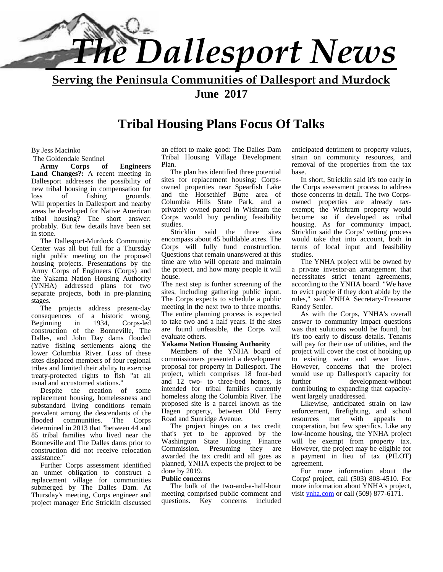

**Serving the Peninsula Communities of Dallesport and Murdock June 2017**

#### **Tribal Housing Plans Focus Of Talks**

#### By Jess Macinko

The Goldendale Sentinel<br>Army Corps o

**Army Corps of Engineers Land Changes?:** A recent meeting in Dallesport addresses the possibility of new tribal housing in compensation for loss of fishing grounds. Will properties in Dallesport and nearby areas be developed for Native American tribal housing? The short answer: probably. But few details have been set in stone.

The Dallesport-Murdock Community Center was all but full for a Thursday night public meeting on the proposed housing projects. Presentations by the Army Corps of Engineers (Corps) and the Yakama Nation Housing Authority (YNHA) addressed plans for two separate projects, both in pre-planning stages.

The projects address present-day consequences of a historic wrong.<br>Beginning in 1934. Corps-led Beginning in 1934, Corps-led construction of the Bonneville, The Dalles, and John Day dams flooded native fishing settlements along the lower Columbia River. Loss of these sites displaced members of four regional tribes and limited their ability to exercise treaty-protected rights to fish "at all usual and accustomed stations."

Despite the creation of some replacement housing, homelessness and substandard living conditions remain prevalent among the descendants of the<br>flooded communities. The Corps flooded communities. determined in 2013 that "between 44 and 85 tribal families who lived near the Bonneville and The Dalles dams prior to construction did not receive relocation assistance."

Further Corps assessment identified an unmet obligation to construct a replacement village for communities  $\mathbf{P}$ ul submerged by The Dalles Dam. At Thursday's meeting, Corps engineer and project manager Eric Stricklin discussed

an effort to make good: The Dalles Dam Tribal Housing Village Development Plan.

The plan has identified three potential sites for replacement housing: Corps owned properties near Spearfish Lake and the Horsethief Butte area of Columbia Hills State Park, and a privately owned parcel in Wishram the Corps would buy pending feasibility studies.

Stricklin said the three sites encompass about 45 buildable acres. The Corps will fully fund construction. Questions that remain unanswered at this time are who will operate and maintain the project, and how many people it will house.

The next step is further screening of the sites, including gathering public input. The Corps expects to schedule a public meeting in the next two to three months. The entire planning process is expected to take two and a half years. If the sites are found unfeasible, the Corps will evaluate others.

#### **Yakama Nation Housing Authority**

Members of the YNHA board of commissioners presented a development proposal for property in Dallesport. The project, which comprises 18 four-bed and 12 two- to three-bed homes, is further intended for tribal families currently homeless along the Columbia River. The proposed site is a parcel known as the Hagen property, between Old Ferry Road and Sunridge Avenue.

The project hinges on a tax credit that's yet to be approved by the Washington State Housing Finance Commission. Presuming they are awarded the tax credit and all goes as planned, YNHA expects the project to be done by 2019.

#### **Public concerns**

The bulk of the two-and-a-half-hour meeting comprised public comment and questions. Key concerns included anticipated detriment to property values, strain on community resources, and removal of the properties from the tax base.

In short, Stricklin said it's too early in the Corps assessment process to address those concerns in detail. The two Corps owned properties are already tax exempt; the Wishram property would become so if developed as tribal housing. As for community impact, Stricklin said the Corps' vetting process would take that into account, both in terms of local input and feasibility studies.

The YNHA project will be owned by a private investor-an arrangement that necessitates strict tenant agreements, according to the YNHA board. "We have to evict people if they don't abide by the rules," said YNHA Secretary-Treasurer Randy Settler.

As with the Corps, YNHA's overall answer to community impact questions was that solutions would be found, but it's too early to discuss details. Tenants will pay for their use of utilities, and the project will cover the cost of hooking up to existing water and sewer lines. However, concerns that the project would use up Dallesport's capacity for development-without contributing to expanding that capacity went largely unaddressed.

Likewise, anticipated strain on law enforcement, firefighting, and school resources met with appeals to cooperation, but few specifics. Like any low-income housing, the YNHA project will be exempt from property tax. However, the project may be eligible for a payment in lieu of tax (PILOT) agreement.

For more information about the Corps' project, call (503) 808-4510. For more information about YNHA's project, visit ynha.com or call (509) 877-6171.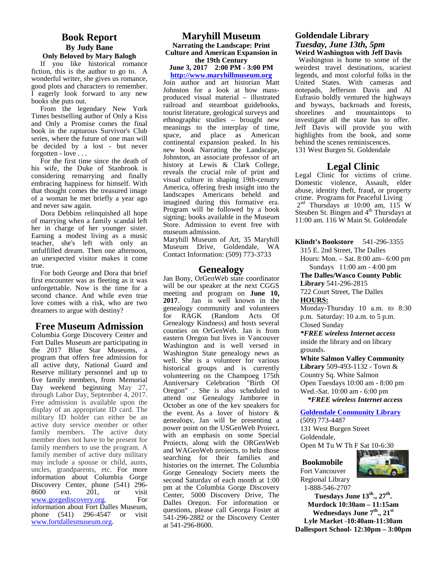#### **Book Report By Judy Bane Only Beloved by Mary Balogh**

If you like historical romance fiction, this is the author to go to. A wonderful writer, she gives us romance, good plots and characters to remember. I eagerly look forward to any new books she puts out.

From the legendary New York Times bestselling author of Only a Kiss and Only a Promise comes the final book in the rapturous Survivor's Club series, where the future of one man will be decided by a lost - but never forgotten - love . . .

For the first time since the death of his wife, the Duke of Stanbrook is considering remarrying and finally embracing happiness for himself. With that thought comes the treasured image of a woman he met briefly a year ago and never saw again.

Dora Debbins relinquished all hope of marrying when a family scandal left her in charge of her younger sister. Earning a modest living as a music teacher, she's left with only an unfulfilled dream. Then one afternoon, an unexpected visitor makes it come true.

For both George and Dora that brief first encounter was as fleeting as it was unforgettable. Now is the time for a second chance. And while even true  $\frac{\text{meeting}}{2017}$ love comes with a risk, who are two dreamers to argue with destiny?

#### **Free Museum Admission**

Columbia Gorge Discovery Center and Fort Dalles Museum are participating in the 2017 Blue Star Museums, a program that offers free admission for all active duty, National Guard and Reserve military personnel and up to five family members, from Memorial Day weekend beginning May 27, through Labor Day, September 4, 2017. Free admission is available upon the display of an appropriate ID card. The military ID holder can either be an active duty service member or other family members. The active duty member does not have to be present for family members to use the program. A family member of active duty military may include a spouse or child, aunts, uncles, grandparents, etc. For more information about Columbia Gorge Discovery Center, phone (541) 296-<br>8600 ext. 201. or visit 8600 ext. 201, or visit www.gorgediscovery.org. For information about Fort Dalles Museum, phone (541) 296-4547 or visit www.fortdallesmuseum.org.

#### **Maryhill Museum Narrating the Landscape: Print Culture and American Expansion in the 19th Century June 3, 2017 2:00 PM - 3:00 PM**

**http://www.maryhillmuseum.org** Join author and art historian Matt Johnston for a look at how mass produced visual material – illustrated railroad and steamboat guidebooks, tourist literature, geological surveys and ethnographic studies – brought new meanings to the interplay of time, space, and place as American continental expansion peaked. In his new book Narrating the Landscape, Johnston, an associate professor of art history at Lewis & Clark College, reveals the crucial role of print and visual culture in shaping 19th-cenutry America, offering fresh insight into the landscapes Americans beheld and imagined during this formative era. Program will be followed by a book signing; books available in the Museum Store. Admission to event free with museum admission.

Maryhill Museum of Art, 35 Maryhill Museum Drive, Goldendale, WA Contact Information: (509) 773-3733

#### **Genealogy**

Jan Bony, OrGenWeb state coordinator will be our speaker at the next CGGS meeting and program on **June 10, 2017**. Jan is well known in the genealogy community and volunteers for RAGK (Random Acts Of Genealogy Kindness) and hosts several counties on OrGenWeb. Jan is from eastern Oregon but lives in Vancouver Washington and is well versed in Washington State genealogy news as well. She is a volunteer for various historical groups and is currently volunteering on the Champoeg 175th Anniversary Celebration "Birth Of Oregon" . She is also scheduled to attend our Genealogy Jamboree in October as one of the key speakers for the event. As a lover of history & genealogy, Jan will be presenting a power point on the USGenWeb Project, with an emphasis on some Special Projects, along with the ORGenWeb and WAGenWeb projects, to help those searching for their families and histories on the internet. The Columbia Gorge Genealogy Society meets the second Saturday of each month at 1:00 pm at the Columbia Gorge Discovery Center, 5000 Discovery Drive, The Dalles Oregon. For information or questions, please call Georga Foster at 541-296-2882 or the Discovery Center at 541-296-8600.

#### **Goldendale Library** *Tuesday, June 13th, 5pm* **Weird Washington with Jeff Davis**

Washington is home to some of the weirdest travel destinations, scariest legends, and most colorful folks in the United States. With cameras and notepads, Jefferson Davis and Al Eufrasio boldly ventured the highways and byways, backroads and forests, shorelines and mountaintops to investigate all the state has to offer. Jeff Davis will provide you with highlights from the book, and some behind the scenes reminiscences. 131 West Burgen St. Goldendale

#### **Legal Clinic**

Legal Clinic for victims of crime. Domestic violence, Assault, elder abuse, identity theft, fraud, or property crime. Programs for Peaceful Living  $2<sup>nd</sup>$  Thursdays at 10:00 am, 115 W Steuben St. Bingen and 4<sup>th</sup> Thursdays at 11:00 am. 116 W Main St. Goldendale

**Klindt's Bookstore** 541-296-3355

315 E. 2nd Street, The Dalles

Hours: Mon. – Sat. 8:00 am– 6:00 pm Sundays 11:00 am - 4:00 pm

**The Dalles/Wasco County Public**

**Library** 541-296-2815

722 Court Street, The Dalles **HOURS:**

Monday-Thursday 10 a.m. to 8:30 p.m. Saturday: 10 a.m. to 5 p.m. Closed Sunday

*\*FREE wireless Internet access* inside the library and on library grounds.

**White Salmon Valley Community Library** 509-493-1132 - Town & Country Sq. White Salmon Open Tuesdays 10:00 am - 8:00 pm Wed.-Sat. 10:00 am - 6:00 pm

 *\*FREE wireless Internet access*

#### **Goldendale Community Library**

(509) 773-4487 131 West Burgen Street Goldendale,

Open M Tu W Th F Sat 10-6:30

#### **Bookmobile**



Fort Vancouver Regional Library 1-888-546-2707

**Tuesdays June 13th., 27th . Murdock 10:30am – 11:15am Wednesdays June 7th., 21st Lyle Market -10:40am-11:30am Dallesport School- 12:30pm – 3:00pm**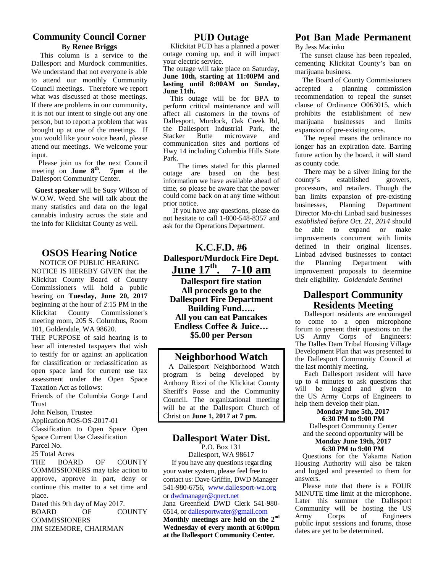#### **Community Council Corner By Renee Briggs**

This column is a service to the Dallesport and Murdock communities. We understand that not everyone is able to attend our monthly Community Council meetings. Therefore we report what was discussed at those meetings. If there are problems in our community, it is not our intent to single out any one person, but to report a problem that was brought up at one of the meetings. If you would like your voice heard, please attend our meetings. We welcome your input.

 Please join us for the next Council meeting on **June 8<sup>th</sup>**. **7pm** at the  $\alpha$ Dallesport Community Center.

**Guest speaker** will be Susy Wilson of W.O.W. Weed. She will talk about the many statistics and data on the legal cannabis industry across the state and the info for Klickitat County as well.

#### **OSOS Hearing Notice**

NOTICE OF PUBLIC HEARING NOTICE IS HEREBY GIVEN that the Klickitat County Board of County Commissioners will hold a public hearing on **Tuesday, June 20, 2017** beginning at the hour of 2:15 PM in the Klickitat County Commissioner's meeting room, 205 S. Columbus, Room 101, Goldendale, WA 98620.

THE PURPOSE of said hearing is to hear all interested taxpayers that wish to testify for or against an application for classification or reclassification as open space land for current use tax assessment under the Open Space Taxation Act as follows:

Friends of the Columbia Gorge Land **Trust** 

John Nelson, Trustee

Application #OS-OS-2017-01

Classification to Open Space Open Space Current Use Classification

Parcel No.

25 Total Acres

THE BOARD OF COUNTY COMMISSIONERS may take action to approve, approve in part, deny or continue this matter to a set time and place.

Dated this 9th day of May 2017. BOARD OF COUNTY COMMISSIONERS JIM SIZEMORE, CHAIRMAN

#### **PUD Outage**

Klickitat PUD has a planned a power outage coming up, and it will impact your electric service.

#### The outage will take place on Saturday, **June 10th, starting at 11:00PM and lasting until 8:00AM on Sunday, June 11th.**

This outage will be for BPA to perform critical maintenance and will affect all customers in the towns of Dallesport, Murdock, Oak Creek Rd, the Dallesport Industrial Park, the Stacker Butte microwave and communication sites and portions of Hwy 14 including Columbia Hills State Park.

The times stated for this planned outage are based on the best There<br>information we have available ahead of county's information we have available ahead of time, so please be aware that the power could come back on at any time without prior notice.

If you have any questions, please do not hesitate to call 1-800-548-8357 and ask for the Operations Department.

#### **K.C.F.D. #6 Dallesport/Murdock Fire Dept.**  $\frac{L}{h}$ **June 17th . 7-10 am**

**Dallesport fire station All proceeds go to the Dallesport Fire Department Building Fund….. All you can eat Pancakes Endless Coffee & Juice… \$5.00 per Person**

#### **Neighborhood Watch**

A Dallesport Neighborhood Watch program is being developed by Anthony Rizzi of the Klickitat County Sheriff's Posse and the Community Council. The organizational meeting will be at the Dallesport Church of Christ on **June 1, 2017 at 7 pm.**

#### **Dallesport Water Dist.**

P.O. Box 131 Dallesport, WA 98617 If you have any questions regarding your water system, please feel free to contact us: Dave Griffin, DWD Manager 541-980-6756, www.dallesport-wa.org or dwdmanager@qnect.net Jana Greenfield DWD Clerk 541-980- 6514, or <u>dallesportwater@gmail.com</u> Comm<br>Manthly meetings are held an the and Army **Monthly meetings are held on the 2nd Wednesday of every month at 6:00pm at the Dallesport Community Center.**

#### **Pot Ban Made Permanent** By Jess Macinko

The sunset clause has been repealed, cementing Klickitat County's ban on marijuana business.

 The Board of County Commissioners accepted a planning commission recommendation to repeal the sunset clause of Ordinance O063015, which prohibits the establishment of new marijuana businesses and limits expansion of pre-existing ones.

The repeal means the ordinance no longer has an expiration date. Barring future action by the board, it will stand as county code.

There may be a silver lining for the established growers, processors, and retailers. Though the ban limits expansion of pre-existing businesses, Planning Department Director Mo-chi Linbad said businesses *established before Oct. 21, 2014* should be able to expand or make improvements concurrent with limits defined in their original licenses. Linbad advised businesses to contact Planning Department with improvement proposals to determine their eligibility*. Goldendale Sentinel*

#### **Dallesport Community Residents Meeting**

Dallesport residents are encouraged to come to a open microphone forum to present their questions on the US Army Corps of Engineers: The Dalles Dam Tribal Housing Village Development Plan that was presented to the Dallesport Community Council at the last monthly meeting.

Each Dallesport resident will have up to 4 minutes to ask questions that will be logged and given to the US Army Corps of Engineers to help them develop their plan.

#### **Monday June 5th, 2017 6:30 PM to 9:00 PM**

Dallesport Community Center and the second opportunity will be **Monday June 19th, 2017**

#### **6:30 PM to 9:00 PM**

Questions for the Yakama Nation Housing Authority will also be taken and logged and presented to them for answers.

Please note that there is a FOUR MINUTE time limit at the microphone. Later this summer the Dallesport Community will be hosting the US Corps of Engineers public input sessions and forums, those dates are yet to be determined.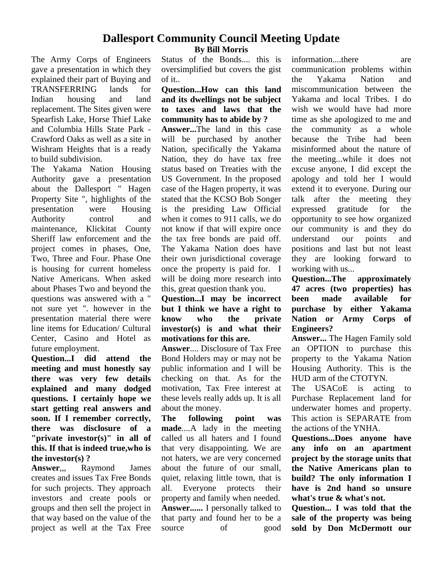#### **Dallesport Community Council Meeting Update By Bill Morris**

The Army Corps of Engineers gave a presentation in which they explained their part of Buying and TRANSFERRING lands for Indian housing and land replacement. The Sites given were Spearfish Lake, Horse Thief Lake and Columbia Hills State Park - Crawford Oaks as well as a site in Wishram Heights that is a ready to build subdivision.

The Yakama Nation Housing Authority gave a presentation about the Dallesport " Hagen Property Site ", highlights of the presentation were Housing Authority control and maintenance, Klickitat County Sheriff law enforcement and the project comes in phases, One, Two, Three and Four. Phase One is housing for current homeless Native Americans. When asked about Phases Two and beyond the questions was answered with a " not sure yet ". however in the presentation material there were **know** line items for Education/ Cultural Center, Casino and Hotel as future employment.

**Question...I did attend the meeting and must honestly say there was very few details explained and many dodged questions. I certainly hope we start getting real answers and soon. If I remember correctly, there was disclosure of a "private investor(s)" in all of this. If that is indeed true,who is the investor(s) ?**

**Answer**,,, Raymond James creates and issues Tax Free Bonds for such projects. They approach all. investors and create pools or groups and then sell the project in that way based on the value of the project as well at the Tax Free

Status of the Bonds.... this is oversimplified but covers the gist of it..

#### **Question...How can this land and its dwellings not be subject to taxes and laws that the community has to abide by ?**

**Answer...**The land in this case will be purchased by another Nation, specifically the Yakama Nation, they do have tax free status based on Treaties with the US Government. In the proposed case of the Hagen property, it was stated that the KCSO Bob Songer is the presiding Law Official when it comes to 911 calls, we do not know if that will expire once the tax free bonds are paid off. The Yakama Nation does have their own jurisdictional coverage once the property is paid for. I will be doing more research into **Ouestion...The** this, great question thank you.

#### **Question...I** may be incorrect been **but I think we have a right to know who the private investor(s) is and what their motivations for this are.**

**Answer**.... Disclosure of Tax Free Bond Holders may or may not be public information and I will be checking on that. As for the motivation, Tax Free interest at these levels really adds up. It is all about the money.

**The following point was made**....A lady in the meeting called us all haters and I found that very disappointing. We are not haters, we are very concerned about the future of our small, quiet, relaxing little town, that is Everyone protects their property and family when needed. **Answer......** I personally talked to that party and found her to be a source of good information....there are communication problems within the Yakama Nation and miscommunication between the Yakama and local Tribes. I do wish we would have had more time as she apologized to me and the community as a whole because the Tribe had been misinformed about the nature of the meeting...while it does not excuse anyone, I did except the apology and told her I would extend it to everyone. During our talk after the meeting they expressed gratitude for the opportunity to see how organized our community is and they do understand our points and positions and last but not least they are looking forward to working with us...

approximately **47 acres (two properties) has** made available for **purchase by either Yakama Nation or Army Corps of Engineers?**

**Answer...** The Hagen Family sold an OPTION to purchase this property to the Yakama Nation Housing Authority. This is the HUD arm of the CTOTYN.

The USACoE is acting to Purchase Replacement land for underwater homes and property. This action is SEPARATE from the actions of the YNHA.

**Questions...Does anyone have any info on an apartment project by the storage units that the Native Americans plan to build? The only information I have is 2nd hand so unsure what's true & what's not.**

**Question... I was told that the sale of the property was being sold by Don McDermott our**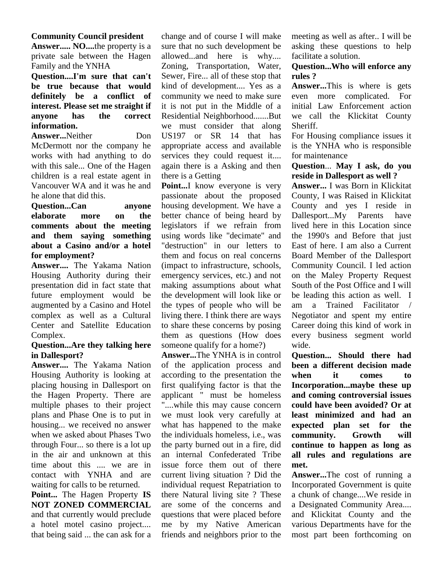#### **Community Council president**

**Answer..... NO....**the property is a private sale between the Hagen Family and the YNHA

**Question....I'm sure that can't be true because that would definitely be a conflict of interest. Please set me straight if anyone has the correct information.**

Answer...Neither Don McDermott nor the company he works with had anything to do with this sale... One of the Hagen children is a real estate agent in Vancouver WA and it was he and he alone that did this.

#### **Question...Can anyone elaborate more on the comments about the meeting and them saying something about a Casino and/or a hotel for employment?**

**Answer....** The Yakama Nation Housing Authority during their presentation did in fact state that future employment would be augmented by a Casino and Hotel complex as well as a Cultural Center and Satellite Education Complex.

#### **Question...Are they talking here in Dallesport?**

**Answer....** The Yakama Nation Housing Authority is looking at placing housing in Dallesport on the Hagen Property. There are multiple phases to their project plans and Phase One is to put in housing... we received no answer when we asked about Phases Two through Four... so there is a lot up in the air and unknown at this time about this .... we are in contact with YNHA and are waiting for calls to be returned.

**Point...** The Hagen Property **IS NOT ZONED COMMERCIAL** and that currently would preclude a hotel motel casino project.... that being said ... the can ask for a change and of course I will make sure that no such development be allowed...and here is why.... Zoning, Transportation, Water, Sewer, Fire... all of these stop that kind of development.... Yes as a community we need to make sure it is not put in the Middle of a Residential Neighborhood.......But we must consider that along US197 or SR 14 that has appropriate access and available services they could request it.... again there is a Asking and then there is a Getting

**Point...**I know everyone is very passionate about the proposed housing development. We have a better chance of being heard by legislators if we refrain from using words like "decimate" and "destruction" in our letters to them and focus on real concerns (impact to infrastructure, schools, emergency services, etc.) and not making assumptions about what the development will look like or the types of people who will be living there. I think there are ways to share these concerns by posing them as questions (How does someone qualify for a home?)

**Answer...**The YNHA is in control of the application process and according to the presentation the first qualifying factor is that the applicant " must be homeless "....while this may cause concern we must look very carefully at what has happened to the make the individuals homeless, i.e., was the party burned out in a fire, did an internal Confederated Tribe issue force them out of there current living situation ? Did the individual request Repatriation to there Natural living site ? These are some of the concerns and questions that were placed before me by my Native American friends and neighbors prior to the

meeting as well as after.. I will be asking these questions to help facilitate a solution.

#### **Question...Who will enforce any rules ?**

**Answer...**This is where is gets even more complicated. For initial Law Enforcement action we call the Klickitat County Sheriff.

For Housing compliance issues it is the YNHA who is responsible for maintenance

#### **Question**... **May I ask, do you reside in Dallesport as well ?**

**Answer...** I was Born in Klickitat County, I was Raised in Klickitat County and yes I reside in Dallesport...My Parents have lived here in this Location since the 1990's and Before that just East of here. I am also a Current Board Member of the Dallesport Community Council. I led action on the Maley Property Request South of the Post Office and I will be leading this action as well. I am a Trained Facilitator / Negotiator and spent my entire Career doing this kind of work in every business segment world wide.

**Question... Should there had been a different decision made when it comes to Incorporation...maybe these up and coming controversial issues could have been avoided? Or at least minimized and had an expected plan set for the community. Growth will continue to happen as long as all rules and regulations are met.**

**Answer...**The cost of running a Incorporated Government is quite a chunk of change....We reside in a Designated Community Area.... and Klickitat County and the various Departments have for the most part been forthcoming on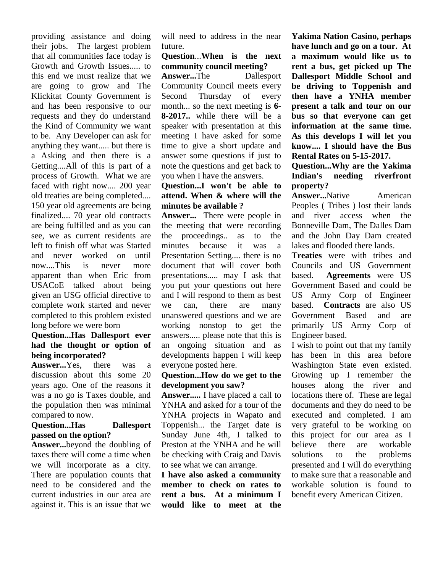providing assistance and doing their jobs. The largest problem that all communities face today is Growth and Growth Issues..... to this end we must realize that we are going to grow and The Klickitat County Government is and has been responsive to our requests and they do understand the Kind of Community we want to be. Any Developer can ask for anything they want..... but there is a Asking and then there is a Getting....All of this is part of a process of Growth. What we are faced with right now.... 200 year old treaties are being completed.... 150 year old agreements are being finalized.... 70 year old contracts are being fulfilled and as you can see, we as current residents are the left to finish off what was Started and never worked on until now....This is never more apparent than when Eric from USACoE talked about being given an USG official directive to complete work started and never completed to this problem existed long before we were born

#### **Question...Has Dallesport ever had the thought or option of being incorporated?**

**Answer...**Yes, there was a discussion about this some 20 years ago. One of the reasons it was a no go is Taxes double, and the population then was minimal compared to now.

#### **Question...Has Dallesport passed on the option?**

**Answer...**beyond the doubling of taxes there will come a time when we will incorporate as a city. There are population counts that need to be considered and the current industries in our area are against it. This is an issue that we will need to address in the near future.

#### **Question**...**When is the next community council meeting?**

**Answer...**The Dallesport Community Council meets every Thursday of every month... so the next meeting is **6- 8-2017..** while there will be a speaker with presentation at this meeting I have asked for some time to give a short update and answer some questions if just to note the questions and get back to you when I have the answers.

#### **Question...I won't be able to attend. When & where will the minutes be available ?**

**Answer...** There were people in the meeting that were recording proceedings.. as to the because it was a Presentation Setting.... there is no document that will cover both presentations..... may I ask that you put your questions out here and I will respond to them as best can, there are many based. unanswered questions and we are working nonstop to get the answers..... please note that this is an ongoing situation and as developments happen I will keep everyone posted here.

#### **Question...How do we get to the development you saw?**

**Answer.....** I have placed a call to YNHA and asked for a tour of the YNHA projects in Wapato and Toppenish... the Target date is Sunday June 4th, I talked to Preston at the YNHA and he will be checking with Craig and Davis solutions to see what we can arrange.

**I have also asked a community member to check on rates to rent a bus. At a minimum I would like to meet at the**

**Yakima Nation Casino, perhaps have lunch and go on a tour. At a maximum would like us to rent a bus, get picked up The Dallesport Middle School and be driving to Toppenish and then have a YNHA member present a talk and tour on our bus so that everyone can get information at the same time. As this develops I will let you know.... I should have the Bus Rental Rates on 5-15-2017.**

#### **Question...Why are the Yakima Indian's needing riverfront property?**

**Answer...**Native American Peoples ( Tribes ) lost their lands and river access when the Bonneville Dam, The Dalles Dam and the John Day Dam created lakes and flooded there lands.

**Treaties** were with tribes and Councils and US Government **Agreements** were US Government Based and could be US Army Corp of Engineer **Contracts** are also US Government Based and are primarily US Army Corp of Engineer based.

I wish to point out that my family has been in this area before Washington State even existed. Growing up I remember the houses along the river and locations there of. These are legal documents and they do need to be executed and completed. I am very grateful to be working on this project for our area as I there are workable to the problems presented and I will do everything to make sure that a reasonable and workable solution is found to benefit every American Citizen.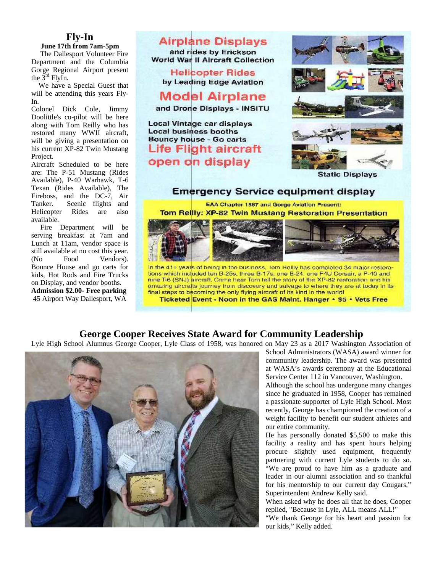#### **Fly-In**

Department and the Columbia Gorge Regional Airport present the  $3^{\text{rd}}$  FlyIn.

We have a Special Guest that will be attending this years Fly-In.

Colonel Dick Cole, Jimmy restored many WWII aircraft, Project.

are: The P-51 Mustang (Rides Available), P-40 Warhawk, T-6 Texan (Rides Available), The Fireboss, and the DC-7, Air Tanker. Scenic flights and Helicopter Rides are also available.

Fire Department will be serving breakfast at 7am and Lunch at 11am, vendor space is still available at no cost this year. (No Food Vendors). Bounce House and go carts for on Display, and vendor booths.



45 Airport Way Dallesport, WA **Ticketed Event - Noon in the GAS Maint. Hanger • \$5 • Vets Free** 

#### **George Cooper Receives State Award for Community Leadership**

Lyle High School Alumnus George Cooper, Lyle Class of 1958, was honored on May 23 as a 2017 Washington Association of



School Administrators (WASA) award winner for community leadership. The award was presented at WASA's awards ceremony at the Educational Service Center 112 in Vancouver, Washington.

Although the school has undergone many changes since he graduated in 1958, Cooper has remained a passionate supporter of Lyle High School. Most recently, George has championed the creation of a weight facility to benefit our student athletes and our entire community.

He has personally donated \$5,500 to make this facility a reality and has spent hours helping procure slightly used equipment, frequently partnering with current Lyle students to do so. "We are proud to have him as a graduate and leader in our alumni association and so thankful for his mentorship to our current day Cougars," Superintendent Andrew Kelly said.

When asked why he does all that he does, Cooper replied, "Because in Lyle, ALL means ALL!"

"We thank George for his heart and passion for our kids," Kelly added.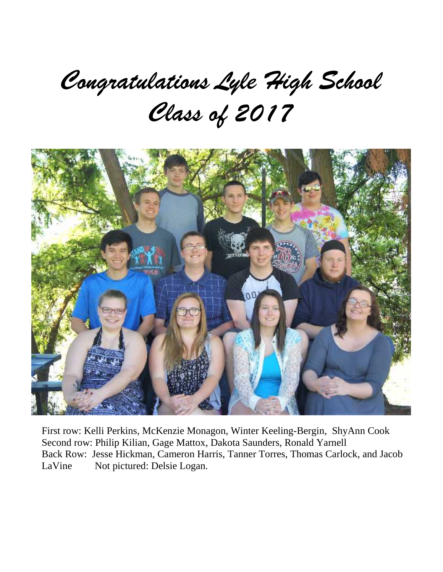## Congratulations Lyle High School Class of 2017



First row: Kelli Perkins, McKenzie Monagon, Winter Keeling-Bergin, ShyAnn Cook Second row: Philip Kilian, Gage Mattox, Dakota Saunders, Ronald Yarnell Back Row: Jesse Hickman, Cameron Harris, Tanner Torres, Thomas Carlock, and Jacob LaVine Not pictured: Delsie Logan.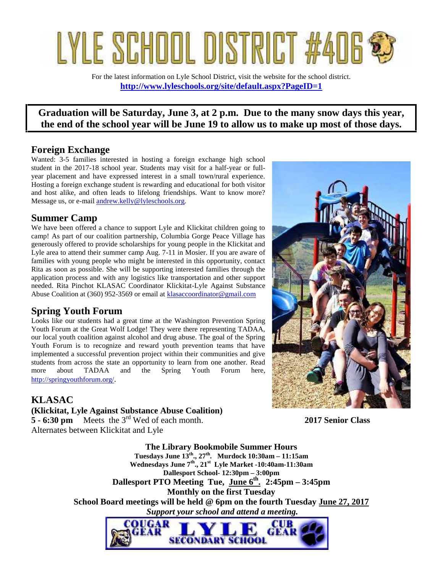# LYLE SCHOOL DISTRIC

For the latest information on Lyle School District, visit the website for the school district. **http://www.lyleschools.org/site/default.aspx?PageID=1**

#### **Graduation will be Saturday, June 3, at 2 p.m. Due to the many snow days this year, the end of the school year will be June 19 to allow us to make up most of those days.**

#### **Foreign Exchange**

Wanted: 3-5 families interested in hosting a foreign exchange high school student in the 2017-18 school year. Students may visit for a half-year or full year placement and have expressed interest in a small town/rural experience. Hosting a foreign exchange student is rewarding and educational for both visitor and host alike, and often leads to lifelong friendships. Want to know more? Message us, or e-mail andrew.kelly@lyleschools.org.

#### **Summer Camp**

We have been offered a chance to support Lyle and Klickitat children going to camp! As part of our coalition partnership, Columbia Gorge Peace Village has generously offered to provide scholarships for young people in the Klickitat and Lyle area to attend their summer camp Aug. 7-11 in Mosier. If you are aware of families with young people who might be interested in this opportunity, contact Rita as soon as possible. She will be supporting interested families through the application process and with any logistics like transportation and other support needed. Rita Pinchot KLASAC Coordinator Klickitat-Lyle Against Substance Abuse Coalition at (360) 952-3569 or email at klasaccoordinator@gmail.com

#### **Spring Youth Forum**

Looks like our students had a great time at the Washington Prevention Spring Youth Forum at the Great Wolf Lodge! They were there representing TADAA, our local youth coalition against alcohol and drug abuse. The goal of the Spring Youth Forum is to recognize and reward youth prevention teams that have implemented a successful prevention project within their communities and give students from across the state an opportunity to learn from one another. Read more about TADAA and the Spring Youth Forum here, http://springyouthforum.org/.



#### **KLASAC**

**(Klickitat, Lyle Against Substance Abuse Coalition) 5 - 6:30 pm** Meets the 3rd Wed of each month. **2017 Senior Class** Alternates between Klickitat and Lyle

**The Library Bookmobile Summer Hours Tuesdays June 13th., 27th. Murdock 10:30am – 11:15am Wednesdays June 7th., 21st Lyle Market -10:40am-11:30am Dallesport School- 12:30pm – 3:00pm Dallesport PTO Meeting Tue, June 6th . 2:45pm – 3:45pm Monthly on the first Tuesday School Board meetings will be held @ 6pm on the fourth Tuesday June 27, 2017**  *Support your school and attend a meeting.*OUGAR CUB

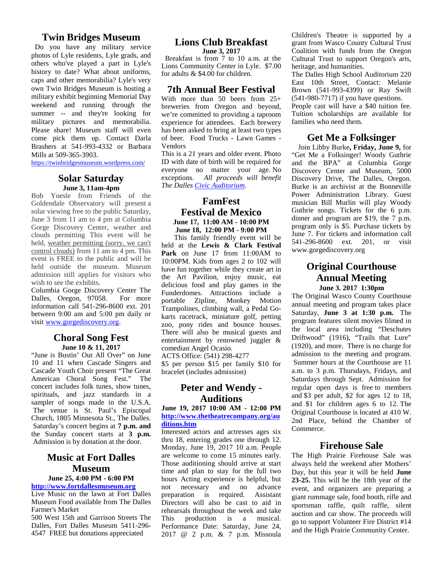#### **Twin Bridges Museum**

Do you have any military service photos of Lyle residents, Lyle grads, and others who've played a part in Lyle's history to date? What about uniforms, caps and other memorabilia? Lyle's very own Twin Bridges Museum is hosting a military exhibit beginning Memorial Day weekend and running through the summer -- and they're looking for military pictures and memorabilia. Please share! Museum staff will even come pick them up. Contact Darla Brashers at 541-993-4332 or Barbara Mills at 509-365-3903.

https://twinbridgesmuseum.wordpress.com/

#### **Solar Saturday June 3, 11am-4pm**

Bob Yoesle from Friends of the Goldendale Observatory will present a solar viewing free to the public Saturday, June 3 from 11 am to 4 pm at Columbia Gorge Discovery Center, weather and clouds permitting This event will be held, weather permitting (sorry, we can't control clouds) from 11 am to 4 pm. This event is FREE to the public and will be held outside the museum. Museum admission still applies for visitors who wish to see the exhibits.

Columbia Gorge Discovery Center The Dalles, Oregon, 97058. For more information call 541-296-8600 ext. 201 between 9:00 am and 5:00 pm daily or visit www.gorgediscovery.org.

#### **Choral Song Fest June 10 & 11, 2017**

"June is Bustin' Out All Over" on June 10 and 11 when Cascade Singers and Cascade Youth Choir present "The Great American Choral Song Fest." The concert includes folk tunes, show tunes, spirituals, and jazz standards in a sampler of songs made in the U.S.A. The venue is St. Paul's Episcopal Church, 1805 Minnesota St., The Dalles. Saturday's concert begins at **7 p.m. and** the Sunday concert starts at **3 p.m.** Admission is by donation at the door.

#### **Music at Fort Dalles Museum**

#### **June 25, 4:00 PM - 6:00 PM http://www.fortdallesmuseum.org**

Live Music on the lawn at Fort Dalles Museum Food available from The Dalles Farmer's Market

500 West 15th and Garrison Streets The Dalles, Fort Dalles Museum 5411-296- 4547 FREE but donations appreciated

#### **Lions Club Breakfast June 3, 2017**

 Breakfast is from 7 to 10 a.m. at the Lions Community Center in Lyle. \$7.00 for adults & \$4.00 for children.

#### **7th Annual Beer Festival**

With more than 50 beers from 25+ breweries from Oregon and beyond, we're committed to providing a taproom experience for attendees. Each brewery has been asked to bring at least two types of beer. Food Trucks - Lawn Games - Vendors

This is a 21 years and older event. Photo ID with date of birth will be required for everyone no matter your age. No exceptions. *All proceeds will benefit The Dalles Civic Auditorium.*

#### **FamFest Festival de Mexico June 17, 11:00 AM - 10:00 PM June 18, 12:00 PM - 9:00 PM**

This family friendly event will be held at the **Lewis & Clark Festival Park** on June 17 from 11:00AM to 10:00PM. Kids from ages 2 to 102 will have fun together while they create art in the Art Pavilion, enjoy music, eat delicious food and play games in the Funderdomes. Attractions include a portable Zipline, Monkey Motion Trampolines, climbing wall, a Pedal Go karts racetrack, miniature golf, petting zoo, pony rides and bounce houses. There will also be musical guests and entertainment by renowned juggler & comedian Angel Ocasio.

ACTS Office: (541) 298-4277

\$5 per person \$15 per family \$10 for bracelet (includes admission)

#### **Peter and Wendy - Auditions**

**June 19, 2017 10:00 AM - 12:00 PM http://www.thetheatrecompany.org/au ditions.htm**

Interested actors and actresses ages six thru 18, entering grades one through 12. Monday, June 19, 2017 10 a.m. People are welcome to come 15 minutes early. Those auditioning should arrive at start time and plan to stay for the full two hours Acting experience is helpful, but not necessary and no advance preparation is required. Assistant Directors will also be cast to aid in rehearsals throughout the week and take This production is a musical. Performance Date: Saturday, June 24, 2017 @ 2 p.m. & 7 p.m. Missoula Children's Theatre is supported by a grant from Wasco County Cultural Trust Coalition with funds from the Oregon Cultural Trust to support Oregon's arts, heritage, and humanities.

The Dalles High School Auditorium 220 East 10th Street, Contact: Melanie Brown (541-993-4399) or Ray Swift (541-980-7717) if you have questions.

People cast will have a \$40 tuition fee. Tuition scholarships are available for families who need them.

#### **Get Me a Folksinger**

Join Libby Burke**, Friday, June 9,** for "Get Me a Folksinger! Woody Guthrie and the BPA" at Columbia Gorge Discovery Center and Museum, 5000 Discovery Drive, The Dalles, Oregon. Burke is an archivist at the Bonneville Power Administration Library. Guest musician Bill Murlin will play Woody Guthrie songs. Tickets for the 6 p.m. dinner and program are \$19, the 7 p.m. program only is \$5. Purchase tickets by June 7. For tickets and information call 541-296-8600 ext. 201, or visit www.gorgediscovery.org

#### **Original Courthouse Annual Meeting June 3. 2017 1:30pm**

The Original Wasco County Courthouse annual meeting and program takes place Saturday, **June 3 at 1:30 p.m.** The program features silent movies filmed in the local area including "Deschutes Driftwood" (1916), "Trails that Lure" (1920), and more. There is no charge for admission to the meeting and program. Summer hours at the Courthouse are 11 a.m. to 3 p.m. Thursdays, Fridays, and Saturdays through Sept. Admission for regular open days is free to members and \$3 per adult, \$2 for ages 12 to 18, and \$1 for children ages 6 to 12. The Original Courthouse is located at 410 W. 2nd Place, behind the Chamber of Commerce.

#### **Firehouse Sale**

The High Prairie Firehouse Sale was always held the weekend after Mothers' Day, but this year it will be held **June 23-25.** This will be the 18th year of the event, and organizers are preparing a giant rummage sale, food booth, rifle and sportsman raffle, quilt raffle, silent auction and car show. The proceeds will go to support Volunteer Fire District #14 and the High Prairie Community Center.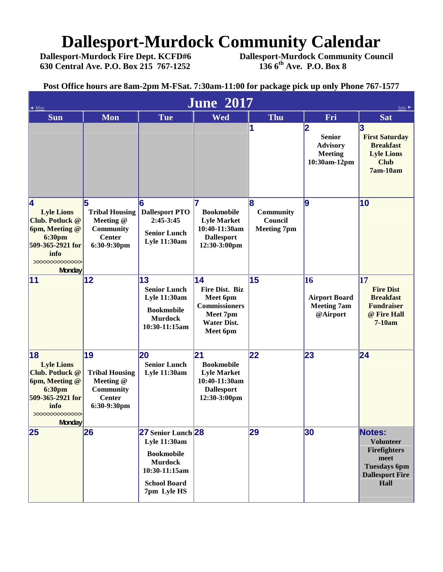## **Dallesport-Murdock Community Calendar**<br>Dallesport-Murdock Fire Dept. KCFD#6 Dallesport-Murdock Community Cour

**630 Central Ave. P.O. Box 215 767-1252** 

**Dallesport-Murdock Community Council**<br>136 6<sup>th</sup> Ave. P.O. Box 8

**Post Office hours are 8am-2pm M-FSat. 7:30am-11:00 for package pick up only Phone 767-1577**

| <b>June 2017</b><br>May<br>July                                                                                                                           |                                                                                              |                                                                                                                                         |                                                                                                                  |                                                  |                                                                         |                                                                                                                    |  |  |
|-----------------------------------------------------------------------------------------------------------------------------------------------------------|----------------------------------------------------------------------------------------------|-----------------------------------------------------------------------------------------------------------------------------------------|------------------------------------------------------------------------------------------------------------------|--------------------------------------------------|-------------------------------------------------------------------------|--------------------------------------------------------------------------------------------------------------------|--|--|
| <b>Sun</b>                                                                                                                                                | <b>Mon</b>                                                                                   | <b>Tue</b>                                                                                                                              | <b>Wed</b>                                                                                                       | <b>Thu</b>                                       | Fri                                                                     | <b>Sat</b>                                                                                                         |  |  |
|                                                                                                                                                           |                                                                                              |                                                                                                                                         |                                                                                                                  | 11                                               | 2<br><b>Senior</b><br><b>Advisory</b><br><b>Meeting</b><br>10:30am-12pm | 3<br><b>First Saturday</b><br><b>Breakfast</b><br><b>Lyle Lions</b><br><b>Club</b><br>7am-10am                     |  |  |
| 4<br><b>Lyle Lions</b><br><b>Club. Potluck @</b><br><b>6pm, Meeting @</b><br><b>6:30pm</b><br>509-365-2921 for<br>info<br>>>>>>>>>>>>>>><br><b>Monday</b> | 5<br><b>Tribal Housing</b><br>Meeting @<br><b>Community</b><br><b>Center</b><br>6:30-9:30pm  | 16<br><b>Dallesport PTO</b><br>$2:45-3:45$<br><b>Senior Lunch</b><br><b>Lyle 11:30am</b>                                                | <b>Bookmobile</b><br><b>Lyle Market</b><br>10:40-11:30am<br><b>Dallesport</b><br>12:30-3:00pm                    | l8<br>Community<br>Council<br><b>Meeting 7pm</b> | <u>lg</u>                                                               | 10                                                                                                                 |  |  |
| 11                                                                                                                                                        | 12                                                                                           | 13<br><b>Senior Lunch</b><br><b>Lyle 11:30am</b><br><b>Bookmobile</b><br><b>Murdock</b><br>10:30-11:15am                                | 14<br><b>Fire Dist. Biz</b><br>Meet 6pm<br><b>Commissioners</b><br>Meet 7pm<br><b>Water Dist.</b><br>Meet 6pm    | 15                                               | <b>16</b><br><b>Airport Board</b><br><b>Meeting 7am</b><br>@Airport     | 17<br><b>Fire Dist</b><br><b>Breakfast</b><br><b>Fundraiser</b><br>@ Fire Hall<br>7-10am                           |  |  |
| 18<br><b>Lyle Lions</b><br>Club. Potluck @<br>6pm, Meeting @<br><b>6:30pm</b><br>509-365-2921 for<br>info<br>>>>>>>>>>>>>><br><b>Monday</b>               | 19<br><b>Tribal Housing</b><br>Meeting @<br><b>Community</b><br><b>Center</b><br>6:30-9:30pm | <b>20</b><br><b>Senior Lunch</b><br>Lyle 11:30am                                                                                        | $\overline{21}$<br><b>Bookmobile</b><br><b>Lyle Market</b><br>10:40-11:30am<br><b>Dallesport</b><br>12:30-3:00pm | $ 22\rangle$                                     | 23                                                                      | 24                                                                                                                 |  |  |
| 25                                                                                                                                                        | 26                                                                                           | 27 Senior Lunch 28<br><b>Lyle 11:30am</b><br><b>Bookmobile</b><br><b>Murdock</b><br>10:30-11:15am<br><b>School Board</b><br>7pm Lyle HS |                                                                                                                  | 29                                               | 30                                                                      | Notes:<br><b>Volunteer</b><br><b>Firefighters</b><br>meet<br><b>Tuesdays 6pm</b><br><b>Dallesport Fire</b><br>Hall |  |  |